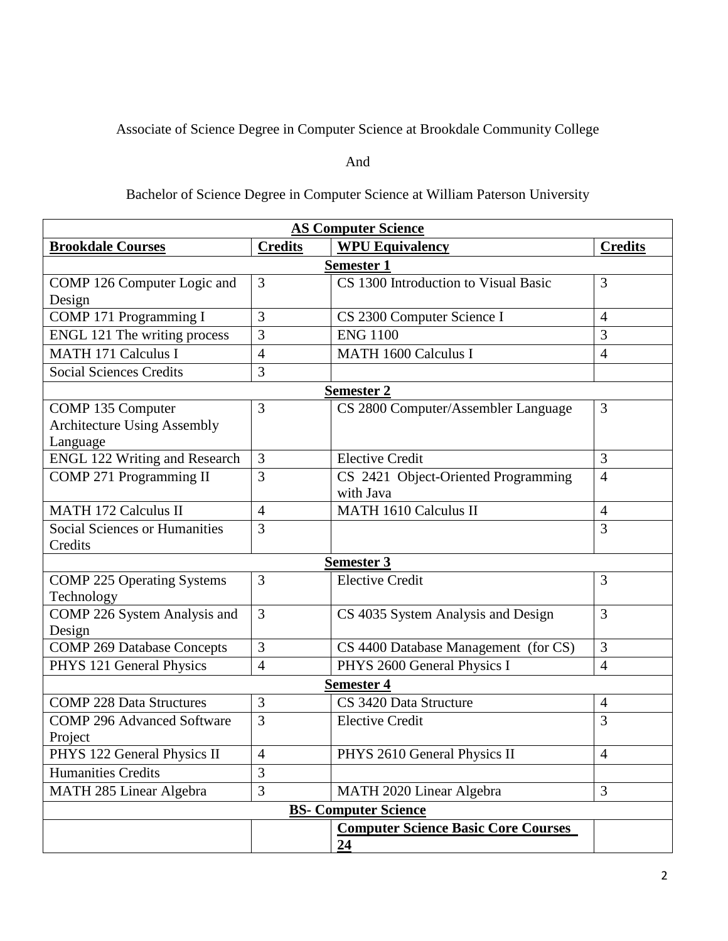## Associate of Science Degree in Computer Science at Brookdale Community College

## And

## Bachelor of Science Degree in Computer Science at William Paterson University

| <b>AS Computer Science</b>                 |                |                                      |                |  |
|--------------------------------------------|----------------|--------------------------------------|----------------|--|
| <b>Brookdale Courses</b>                   | <b>Credits</b> | <b>WPU Equivalency</b>               | <b>Credits</b> |  |
| <b>Semester 1</b>                          |                |                                      |                |  |
| COMP 126 Computer Logic and                | 3              | CS 1300 Introduction to Visual Basic | 3              |  |
| Design                                     |                |                                      |                |  |
| COMP 171 Programming I                     | $\overline{3}$ | CS 2300 Computer Science I           | $\overline{4}$ |  |
| ENGL 121 The writing process               | 3              | <b>ENG 1100</b>                      | 3              |  |
| <b>MATH 171 Calculus I</b>                 | $\overline{4}$ | <b>MATH 1600 Calculus I</b>          | $\overline{4}$ |  |
| <b>Social Sciences Credits</b>             | 3              |                                      |                |  |
|                                            |                | <b>Semester 2</b>                    |                |  |
| COMP 135 Computer                          | $\overline{3}$ | CS 2800 Computer/Assembler Language  | 3              |  |
| <b>Architecture Using Assembly</b>         |                |                                      |                |  |
| Language                                   |                |                                      |                |  |
| <b>ENGL 122 Writing and Research</b>       | 3              | <b>Elective Credit</b>               | 3              |  |
| COMP 271 Programming II                    | 3              | CS 2421 Object-Oriented Programming  | $\overline{4}$ |  |
|                                            |                | with Java                            |                |  |
| <b>MATH 172 Calculus II</b>                | $\overline{4}$ | <b>MATH 1610 Calculus II</b>         | $\overline{4}$ |  |
| <b>Social Sciences or Humanities</b>       | 3              |                                      | 3              |  |
| Credits                                    |                |                                      |                |  |
| <b>Semester 3</b>                          |                |                                      |                |  |
| <b>COMP 225 Operating Systems</b>          | 3              | <b>Elective Credit</b>               | 3              |  |
| Technology<br>COMP 226 System Analysis and | 3              | CS 4035 System Analysis and Design   | 3              |  |
| Design                                     |                |                                      |                |  |
| <b>COMP 269 Database Concepts</b>          | 3              | CS 4400 Database Management (for CS) | 3              |  |
| PHYS 121 General Physics                   | 4              | PHYS 2600 General Physics I          | $\overline{4}$ |  |
|                                            |                | <b>Semester 4</b>                    |                |  |
| <b>COMP 228 Data Structures</b>            | 3              | CS 3420 Data Structure               | $\overline{4}$ |  |
| <b>COMP 296 Advanced Software</b>          | 3              | <b>Elective Credit</b>               | 3              |  |
| Project                                    |                |                                      |                |  |
| PHYS 122 General Physics II                | $\overline{4}$ | PHYS 2610 General Physics II         | $\overline{4}$ |  |
| <b>Humanities Credits</b>                  | 3              |                                      |                |  |
| MATH 285 Linear Algebra                    | 3              | MATH 2020 Linear Algebra             | 3              |  |
|                                            |                | <b>BS- Computer Science</b>          |                |  |
| <b>Computer Science Basic Core Courses</b> |                |                                      |                |  |
|                                            |                | 24                                   |                |  |
|                                            |                |                                      |                |  |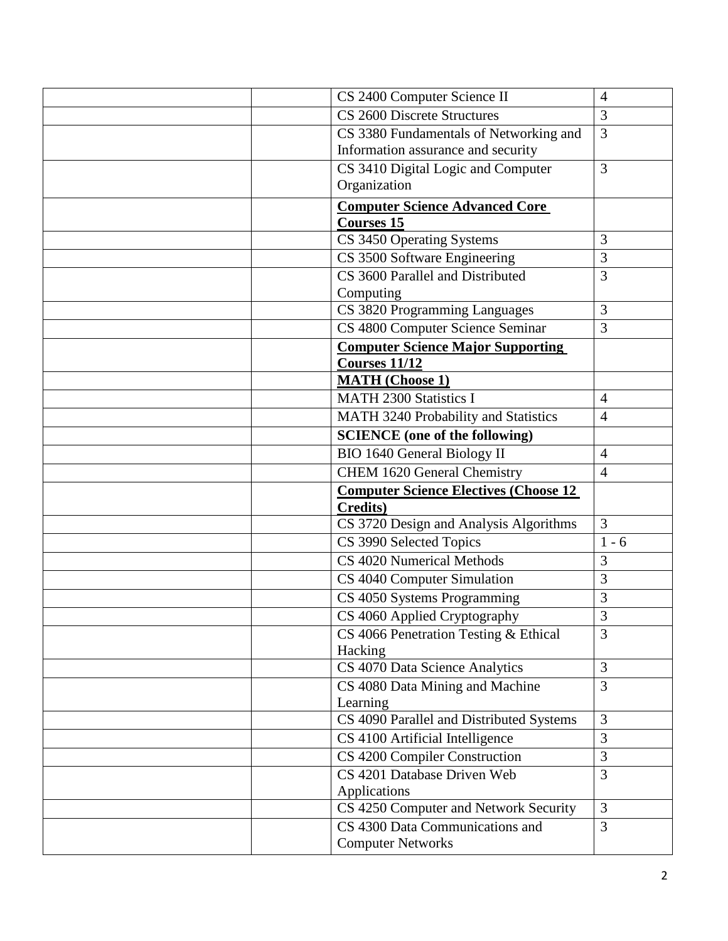| CS 2400 Computer Science II                  | $\overline{4}$ |
|----------------------------------------------|----------------|
| CS 2600 Discrete Structures                  | 3              |
| CS 3380 Fundamentals of Networking and       | 3              |
| Information assurance and security           |                |
| CS 3410 Digital Logic and Computer           | 3              |
| Organization                                 |                |
| <b>Computer Science Advanced Core</b>        |                |
| <b>Courses 15</b>                            |                |
| CS 3450 Operating Systems                    | 3              |
| CS 3500 Software Engineering                 | 3              |
| CS 3600 Parallel and Distributed             | 3              |
| Computing                                    |                |
| CS 3820 Programming Languages                | 3              |
| CS 4800 Computer Science Seminar             | 3              |
| <b>Computer Science Major Supporting</b>     |                |
| Courses 11/12                                |                |
| <b>MATH (Choose 1)</b>                       |                |
| <b>MATH 2300 Statistics I</b>                | $\overline{4}$ |
| MATH 3240 Probability and Statistics         | $\overline{4}$ |
| <b>SCIENCE</b> (one of the following)        |                |
| <b>BIO 1640 General Biology II</b>           | $\overline{4}$ |
| <b>CHEM 1620 General Chemistry</b>           | $\overline{4}$ |
| <b>Computer Science Electives (Choose 12</b> |                |
| <b>Credits</b> )                             |                |
| CS 3720 Design and Analysis Algorithms       | 3              |
| CS 3990 Selected Topics                      | $1 - 6$        |
| CS 4020 Numerical Methods                    | 3              |
| CS 4040 Computer Simulation                  | 3              |
| CS 4050 Systems Programming                  | 3              |
| CS 4060 Applied Cryptography                 | 3              |
| CS 4066 Penetration Testing & Ethical        | 3              |
| Hacking                                      |                |
| CS 4070 Data Science Analytics               | 3              |
| CS 4080 Data Mining and Machine              | $\overline{3}$ |
| Learning                                     |                |
| CS 4090 Parallel and Distributed Systems     | 3              |
| CS 4100 Artificial Intelligence              | 3              |
| CS 4200 Compiler Construction                | $\overline{3}$ |
| CS 4201 Database Driven Web                  | 3              |
| Applications                                 |                |
| CS 4250 Computer and Network Security        | 3              |
| CS 4300 Data Communications and              | 3              |
| <b>Computer Networks</b>                     |                |